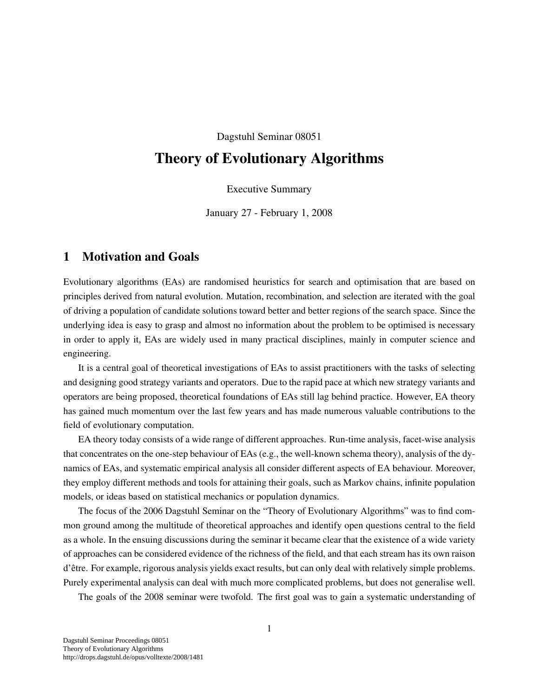Dagstuhl Seminar 08051

## Theory of Evolutionary Algorithms

Executive Summary

January 27 - February 1, 2008

## 1 Motivation and Goals

Evolutionary algorithms (EAs) are randomised heuristics for search and optimisation that are based on principles derived from natural evolution. Mutation, recombination, and selection are iterated with the goal of driving a population of candidate solutions toward better and better regions of the search space. Since the underlying idea is easy to grasp and almost no information about the problem to be optimised is necessary in order to apply it, EAs are widely used in many practical disciplines, mainly in computer science and engineering.

It is a central goal of theoretical investigations of EAs to assist practitioners with the tasks of selecting and designing good strategy variants and operators. Due to the rapid pace at which new strategy variants and operators are being proposed, theoretical foundations of EAs still lag behind practice. However, EA theory has gained much momentum over the last few years and has made numerous valuable contributions to the field of evolutionary computation.

EA theory today consists of a wide range of different approaches. Run-time analysis, facet-wise analysis that concentrates on the one-step behaviour of EAs (e.g., the well-known schema theory), analysis of the dynamics of EAs, and systematic empirical analysis all consider different aspects of EA behaviour. Moreover, they employ different methods and tools for attaining their goals, such as Markov chains, infinite population models, or ideas based on statistical mechanics or population dynamics.

The focus of the 2006 Dagstuhl Seminar on the "Theory of Evolutionary Algorithms" was to find common ground among the multitude of theoretical approaches and identify open questions central to the field as a whole. In the ensuing discussions during the seminar it became clear that the existence of a wide variety of approaches can be considered evidence of the richness of the field, and that each stream has its own raison d'etre. For example, rigorous analysis yields exact results, but can only deal with relatively simple problems. ˆ Purely experimental analysis can deal with much more complicated problems, but does not generalise well.

The goals of the 2008 seminar were twofold. The first goal was to gain a systematic understanding of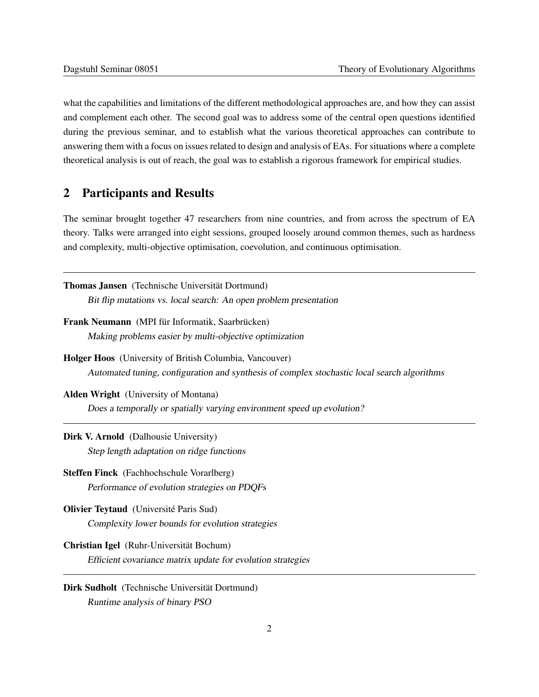what the capabilities and limitations of the different methodological approaches are, and how they can assist and complement each other. The second goal was to address some of the central open questions identified during the previous seminar, and to establish what the various theoretical approaches can contribute to answering them with a focus on issues related to design and analysis of EAs. For situations where a complete theoretical analysis is out of reach, the goal was to establish a rigorous framework for empirical studies.

## 2 Participants and Results

The seminar brought together 47 researchers from nine countries, and from across the spectrum of EA theory. Talks were arranged into eight sessions, grouped loosely around common themes, such as hardness and complexity, multi-objective optimisation, coevolution, and continuous optimisation.

| Thomas Jansen (Technische Universität Dortmund)                                             |
|---------------------------------------------------------------------------------------------|
| Bit flip mutations vs. local search: An open problem presentation                           |
| Frank Neumann (MPI für Informatik, Saarbrücken)                                             |
| Making problems easier by multi-objective optimization                                      |
| Holger Hoos (University of British Columbia, Vancouver)                                     |
| Automated tuning, configuration and synthesis of complex stochastic local search algorithms |
| <b>Alden Wright</b> (University of Montana)                                                 |
| Does a temporally or spatially varying environment speed up evolution?                      |
| <b>Dirk V. Arnold</b> (Dalhousie University)                                                |
| Step length adaptation on ridge functions                                                   |
| Steffen Finck (Fachhochschule Vorarlberg)                                                   |
| Performance of evolution strategies on PDQFs                                                |
| Olivier Teytaud (Université Paris Sud)                                                      |
| Complexity lower bounds for evolution strategies                                            |
| Christian Igel (Ruhr-Universität Bochum)                                                    |
| Efficient covariance matrix update for evolution strategies                                 |
| Dirk Sudholt (Technische Universität Dortmund)                                              |
| Runtime analysis of binary PSO                                                              |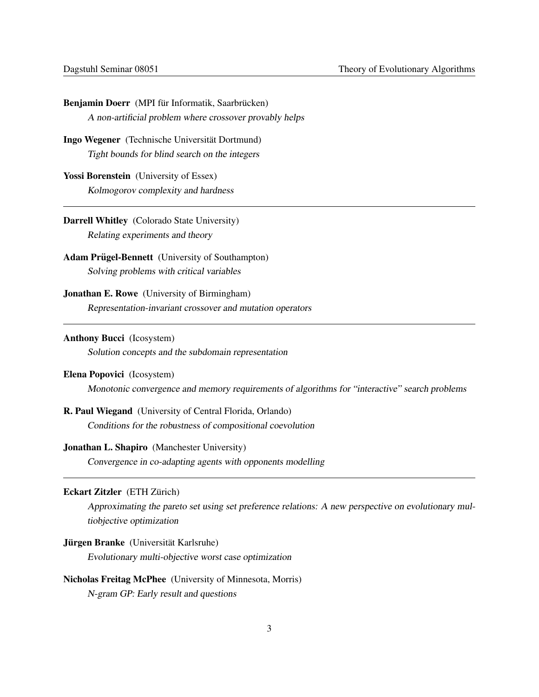| Benjamin Doerr (MPI für Informatik, Saarbrücken)                                                    |
|-----------------------------------------------------------------------------------------------------|
| A non-artificial problem where crossover provably helps                                             |
| Ingo Wegener (Technische Universität Dortmund)                                                      |
| Tight bounds for blind search on the integers                                                       |
| Yossi Borenstein (University of Essex)                                                              |
| Kolmogorov complexity and hardness                                                                  |
| Darrell Whitley (Colorado State University)                                                         |
| Relating experiments and theory                                                                     |
| <b>Adam Prügel-Bennett</b> (University of Southampton)                                              |
| Solving problems with critical variables                                                            |
| <b>Jonathan E. Rowe</b> (University of Birmingham)                                                  |
| Representation-invariant crossover and mutation operators                                           |
| <b>Anthony Bucci</b> (Icosystem)                                                                    |
| Solution concepts and the subdomain representation                                                  |
| Elena Popovici (Icosystem)                                                                          |
| Monotonic convergence and memory requirements of algorithms for "interactive" search problems       |
| R. Paul Wiegand (University of Central Florida, Orlando)                                            |
| Conditions for the robustness of compositional coevolution                                          |
| <b>Jonathan L. Shapiro</b> (Manchester University)                                                  |
| Convergence in co-adapting agents with opponents modelling                                          |
| Eckart Zitzler (ETH Zürich)                                                                         |
| Approximating the pareto set using set preference relations: A new perspective on evolutionary mul- |
| tiobjective optimization                                                                            |
| Jürgen Branke (Universität Karlsruhe)                                                               |
| Evolutionary multi-objective worst case optimization                                                |
| Nicholas Freitag McPhee (University of Minnesota, Morris)                                           |
| N-gram GP: Early result and questions                                                               |
|                                                                                                     |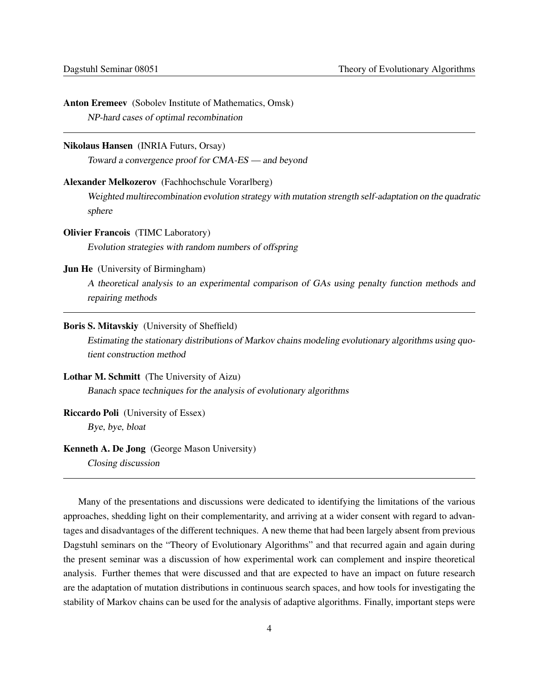| <b>Anton Eremeev</b> (Sobolev Institute of Mathematics, Omsk)<br>NP-hard cases of optimal recombination                           |
|-----------------------------------------------------------------------------------------------------------------------------------|
|                                                                                                                                   |
| <b>Nikolaus Hansen</b> (INRIA Futurs, Orsay)                                                                                      |
| Toward a convergence proof for CMA-ES — and beyond                                                                                |
| Alexander Melkozerov (Fachhochschule Vorarlberg)                                                                                  |
| Weighted multirecombination evolution strategy with mutation strength self-adaptation on the quadratic<br>sphere                  |
| <b>Olivier Francois</b> (TIMC Laboratory)                                                                                         |
| Evolution strategies with random numbers of offspring                                                                             |
| <b>Jun He</b> (University of Birmingham)                                                                                          |
| A theoretical analysis to an experimental comparison of GAs using penalty function methods and<br>repairing methods               |
| Boris S. Mitavskiy (University of Sheffield)                                                                                      |
| Estimating the stationary distributions of Markov chains modeling evolutionary algorithms using quo-<br>tient construction method |
| Lothar M. Schmitt (The University of Aizu)                                                                                        |
| Banach space techniques for the analysis of evolutionary algorithms                                                               |
| <b>Riccardo Poli</b> (University of Essex)                                                                                        |
| Bye, bye, bloat                                                                                                                   |
| Kenneth A. De Jong (George Mason University)<br>Closing discussion                                                                |

Many of the presentations and discussions were dedicated to identifying the limitations of the various approaches, shedding light on their complementarity, and arriving at a wider consent with regard to advantages and disadvantages of the different techniques. A new theme that had been largely absent from previous Dagstuhl seminars on the "Theory of Evolutionary Algorithms" and that recurred again and again during the present seminar was a discussion of how experimental work can complement and inspire theoretical analysis. Further themes that were discussed and that are expected to have an impact on future research are the adaptation of mutation distributions in continuous search spaces, and how tools for investigating the stability of Markov chains can be used for the analysis of adaptive algorithms. Finally, important steps were